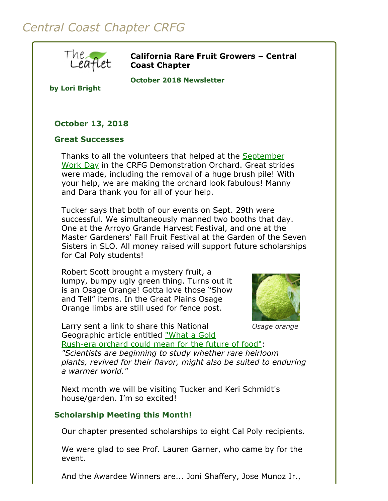# *Central Coast Chapter CRFG*



**California Rare Fruit Growers – Central Coast Chapter**

**October 2018 Newsletter** 

**by Lori Bright**

# **October 13, 2018**

#### **Great Successes**

[Thanks to all the volunteers that helped at the September](file:///Users/daramanker/Documents/CRFG/Website/Newsletters/2018/Sep/crfgccNewsletter2018Sep.html#workday20180922) Work Day in the CRFG Demonstration Orchard. Great strides were made, including the removal of a huge brush pile! With your help, we are making the orchard look fabulous! Manny and Dara thank you for all of your help.

Tucker says that both of our events on Sept. 29th were successful. We simultaneously manned two booths that day. One at the Arroyo Grande Harvest Festival, and one at the Master Gardeners' Fall Fruit Festival at the Garden of the Seven Sisters in SLO. All money raised will support future scholarships for Cal Poly students!

Robert Scott brought a mystery fruit, a lumpy, bumpy ugly green thing. Turns out it is an Osage Orange! Gotta love those "Show and Tell" items. In the Great Plains Osage Orange limbs are still used for fence post.



*Osage orange*

Larry sent a link to share this National Geographic article entitled "What a Gold [Rush-era orchard could mean for the future of food"](https://www.nationalgeographic.com/environment/future-of-food/california-agriculture-food-drought-resistance/?fbclid=IwAR2duuHm37Dyn5I84nY8RsP8uO3gHScpeHxngpgFO_YZflNQTJqCmdPXLhw&user.testname=none):

*"Scientists are beginning to study whether rare heirloom plants, revived for their flavor, might also be suited to enduring a warmer world."*

Next month we will be visiting Tucker and Keri Schmidt's house/garden. I'm so excited!

## **Scholarship Meeting this Month!**

Our chapter presented scholarships to eight Cal Poly recipients.

We were glad to see Prof. Lauren Garner, who came by for the event.

And the Awardee Winners are... Joni Shaffery, Jose Munoz Jr.,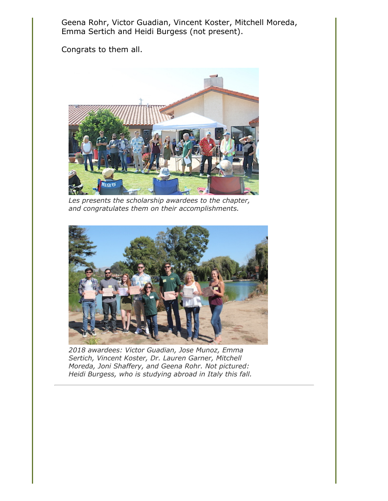Geena Rohr, Victor Guadian, Vincent Koster, Mitchell Moreda, Emma Sertich and Heidi Burgess (not present).

Congrats to them all.



*Les presents the scholarship awardees to the chapter, and congratulates them on their accomplishments.*



*2018 awardees: Victor Guadian, Jose Munoz, Emma Sertich, Vincent Koster, Dr. Lauren Garner, Mitchell Moreda, Joni Shaffery, and Geena Rohr. Not pictured: Heidi Burgess, who is studying abroad in Italy this fall.*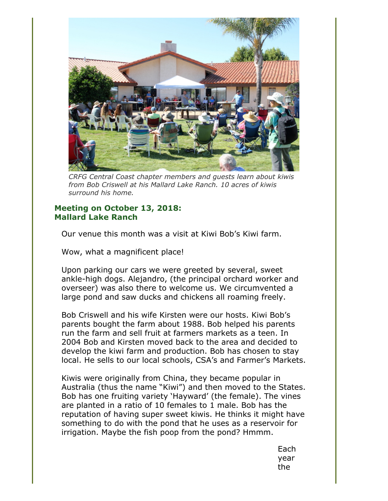

*CRFG Central Coast chapter members and guests learn about kiwis from Bob Criswell at his Mallard Lake Ranch. 10 acres of kiwis surround his home.*

### **Meeting on October 13, 2018: Mallard Lake Ranch**

Our venue this month was a visit at Kiwi Bob's Kiwi farm.

Wow, what a magnificent place!

Upon parking our cars we were greeted by several, sweet ankle-high dogs. Alejandro, (the principal orchard worker and overseer) was also there to welcome us. We circumvented a large pond and saw ducks and chickens all roaming freely.

Bob Criswell and his wife Kirsten were our hosts. Kiwi Bob's parents bought the farm about 1988. Bob helped his parents run the farm and sell fruit at farmers markets as a teen. In 2004 Bob and Kirsten moved back to the area and decided to develop the kiwi farm and production. Bob has chosen to stay local. He sells to our local schools, CSA's and Farmer's Markets.

Kiwis were originally from China, they became popular in Australia (thus the name "Kiwi") and then moved to the States. Bob has one fruiting variety 'Hayward' (the female). The vines are planted in a ratio of 10 females to 1 male. Bob has the reputation of having super sweet kiwis. He thinks it might have something to do with the pond that he uses as a reservoir for irrigation. Maybe the fish poop from the pond? Hmmm.

> Each year the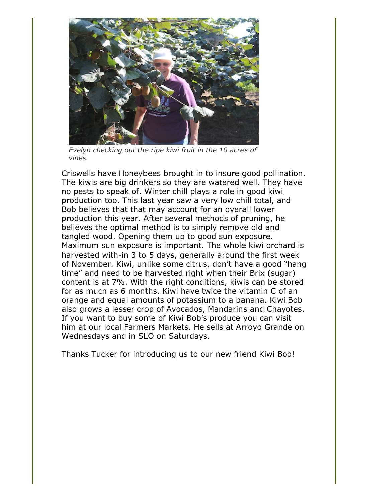

*Evelyn checking out the ripe kiwi fruit in the 10 acres of vines.*

Criswells have Honeybees brought in to insure good pollination. The kiwis are big drinkers so they are watered well. They have no pests to speak of. Winter chill plays a role in good kiwi production too. This last year saw a very low chill total, and Bob believes that that may account for an overall lower production this year. After several methods of pruning, he believes the optimal method is to simply remove old and tangled wood. Opening them up to good sun exposure. Maximum sun exposure is important. The whole kiwi orchard is harvested with-in 3 to 5 days, generally around the first week of November. Kiwi, unlike some citrus, don't have a good "hang time" and need to be harvested right when their Brix (sugar) content is at 7%. With the right conditions, kiwis can be stored for as much as 6 months. Kiwi have twice the vitamin C of an orange and equal amounts of potassium to a banana. Kiwi Bob also grows a lesser crop of Avocados, Mandarins and Chayotes. If you want to buy some of Kiwi Bob's produce you can visit him at our local Farmers Markets. He sells at Arroyo Grande on Wednesdays and in SLO on Saturdays.

Thanks Tucker for introducing us to our new friend Kiwi Bob!